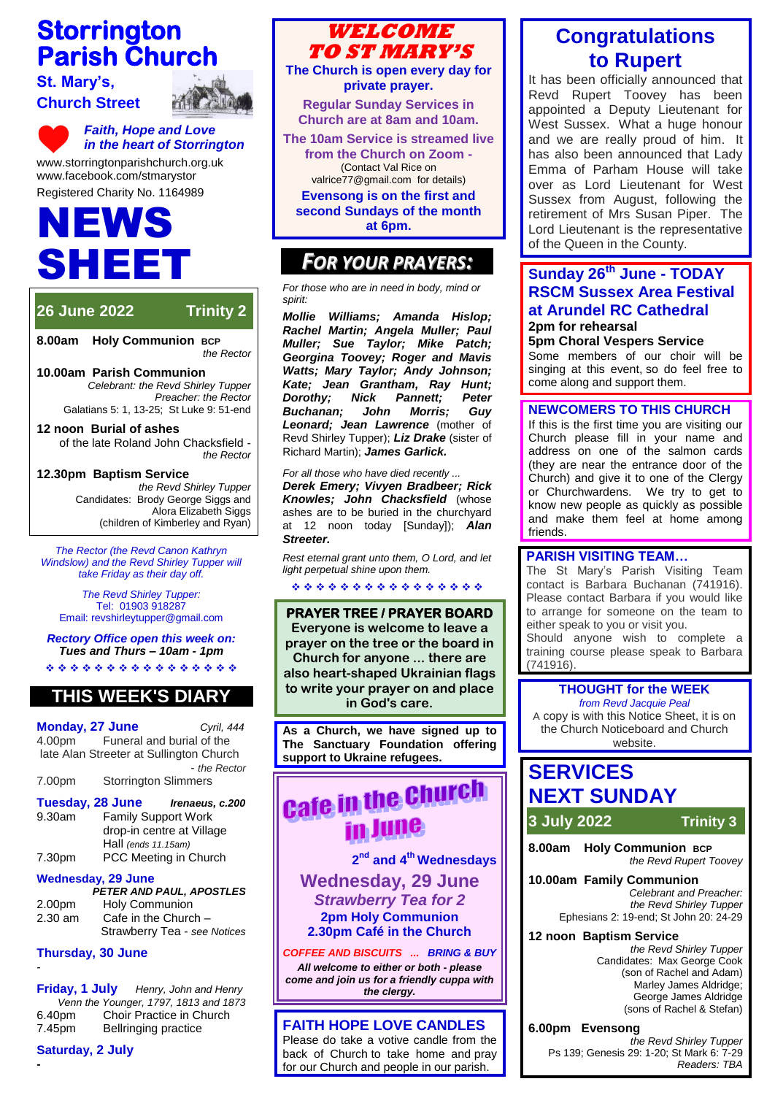## **Storrington Parish Church**

#### **St. Mary's, Church Street**



*Faith, Hope and Love in the heart of Storrington* [www.storringtonparishchurch.org.uk](http://www.storringtonparishchurch.org.uk/) www.facebook.com/stmarystor

Registered Charity No. 1164989

# EWS SHEET

## **26 June 2022 Trinity 2**

**8.00am Holy Communion BCP** *the Rector*

**10.00am Parish Communion**  *Celebrant: the Revd Shirley Tupper* 

*Preacher: the Rector*  Galatians 5: 1, 13-25; St Luke 9: 51-end

#### **12 noon Burial of ashes**

of the late Roland John Chacksfield *the Rector*

#### **12.30pm Baptism Service**

*the Revd Shirley Tupper* Candidates: Brody George Siggs and Alora Elizabeth Siggs (children of Kimberley and Ryan)

*The Rector (the Revd Canon Kathryn Windslow) and the Revd Shirley Tupper will take Friday as their day off.*

*The Revd Shirley Tupper:* Tel: 01903 918287 Email: revshirleytupper@gmail.com

*Rectory Office open this week on: Tues and Thurs – 10am - 1pm* \*\*\*\*\*\*\*\*\*\*\*\*\*\*\*\*

## **THIS WEEK'S DIARY**

**Monday, 27 June** *Cyril, 444* 4.00pm Funeral and burial of the late Alan Streeter at Sullington Church - *the Rector* 7.00pm Storrington Slimmers

**Tuesday, 28 June** *Irenaeus, c.200* 9.30am Family Support Work drop-in centre at Village Hall *(ends 11.15am)* 7.30pm PCC Meeting in Church

#### **Wednesday, 29 June**

|           | PETER AND PAUL, APOSTLES     |
|-----------|------------------------------|
| 2.00pm    | <b>Holy Communion</b>        |
| $2.30$ am | Cafe in the Church $-$       |
|           | Strawberry Tea - see Notices |

#### **Thursday, 30 June**

-

**-**

**Friday, 1 July** *Henry, John and Henry Venn the Younger, 1797, 1813 and 1873* 6.40pm Choir Practice in Church 7.45pm Bellringing practice





**The Church is open every day for private prayer.**

**Regular Sunday Services in Church are at 8am and 10am.**

**The 10am Service is streamed live from the Church on Zoom -** (Contact Val Rice on [valrice77@gmail.com](mailto:valrice77@gmail.com) for details)

**Evensong is on the first and second Sundays of the month at 6pm.** 

### *FOR YOUR PRAYERS:*

*For those who are in need in body, mind or spirit:*

*Mollie Williams; Amanda Hislop; Rachel Martin; Angela Muller; Paul Muller; Sue Taylor; Mike Patch; Georgina Toovey; Roger and Mavis Watts; Mary Taylor; Andy Johnson; Kate; Jean Grantham, Ray Hunt; Dorothy; Nick Pannett; Peter Buchanan; John Morris; Guy Leonard; Jean Lawrence* (mother of Revd Shirley Tupper); *Liz Drake* (sister of Richard Martin); *James Garlick.*

*For all those who have died recently ... Derek Emery; Vivyen Bradbeer; Rick Knowles; John Chacksfield* (whose ashes are to be buried in the churchyard at 12 noon today [Sunday]); *Alan Streeter.*

*Rest eternal grant unto them, O Lord, and let light perpetual shine upon them.*

\*\*\*\*\*\*\*\*\*\*\*\*\*\*\*\*

**PRAYER TREE / PRAYER BOARD Everyone is welcome to leave a prayer on the tree or the board in Church for anyone ... there are also heart-shaped Ukrainian flags to write your prayer on and place in God's care.**

**As a Church, we have signed up to The Sanctuary Foundation offering support to Ukraine refugees.**

## **Cafe in the Church** in June

**2 nd and 4th Wednesdays Wednesday, 29 June** *Strawberry Tea for 2*

**2pm Holy Communion 2.30pm Café in the Church**

*COFFEE AND BISCUITS ... BRING & BUY All welcome to either or both - please come and join us for a friendly cuppa with the clergy.*

#### **FAITH HOPE LOVE CANDLES**

Please do take a votive candle from the back of Church to take home and pray for our Church and people in our parish.

## **Congratulations to Rupert**

It has been officially announced that Revd Rupert Toovey has been appointed a Deputy Lieutenant for West Sussex. What a huge honour and we are really proud of him. It has also been announced that Lady Emma of Parham House will take over as Lord Lieutenant for West Sussex from August, following the retirement of Mrs Susan Piper. The Lord Lieutenant is the representative of the Queen in the County.

#### **Sunday 26th June - TODAY RSCM Sussex Area Festival at Arundel RC Cathedral 2pm for rehearsal**

#### **5pm Choral Vespers Service**

Some members of our choir will be singing at this event, so do feel free to come along and support them.

#### **NEWCOMERS TO THIS CHURCH**

If this is the first time you are visiting our Church please fill in your name and address on one of the salmon cards (they are near the entrance door of the Church) and give it to one of the Clergy or Churchwardens. We try to get to know new people as quickly as possible and make them feel at home among friends.

#### **PARISH VISITING TEAM…**

The St Mary's Parish Visiting Team contact is Barbara Buchanan (741916). Please contact Barbara if you would like to arrange for someone on the team to either speak to you or visit you. Should anyone wish to complete a training course please speak to Barbara (741916).

#### **THOUGHT for the WEEK**

*from Revd Jacquie Peal* A copy is with this Notice Sheet, it is on the Church Noticeboard and Church website.

## **SERVICES NEXT SUNDAY**

**3 July 2022 Trinity 3**

**8.00am Holy Communion BCP** *the Revd Rupert Toovey*

**10.00am Family Communion** 

*Celebrant and Preacher: the Revd Shirley Tupper*  Ephesians 2: 19-end; St John 20: 24-29

#### **12 noon Baptism Service**

*the Revd Shirley Tupper* Candidates: Max George Cook (son of Rachel and Adam) Marley James Aldridge; George James Aldridge (sons of Rachel & Stefan)

#### **6.00pm Evensong**

*the Revd Shirley Tupper* Ps 139; Genesis 29: 1-20; St Mark 6: 7-29 *Readers: TBA*